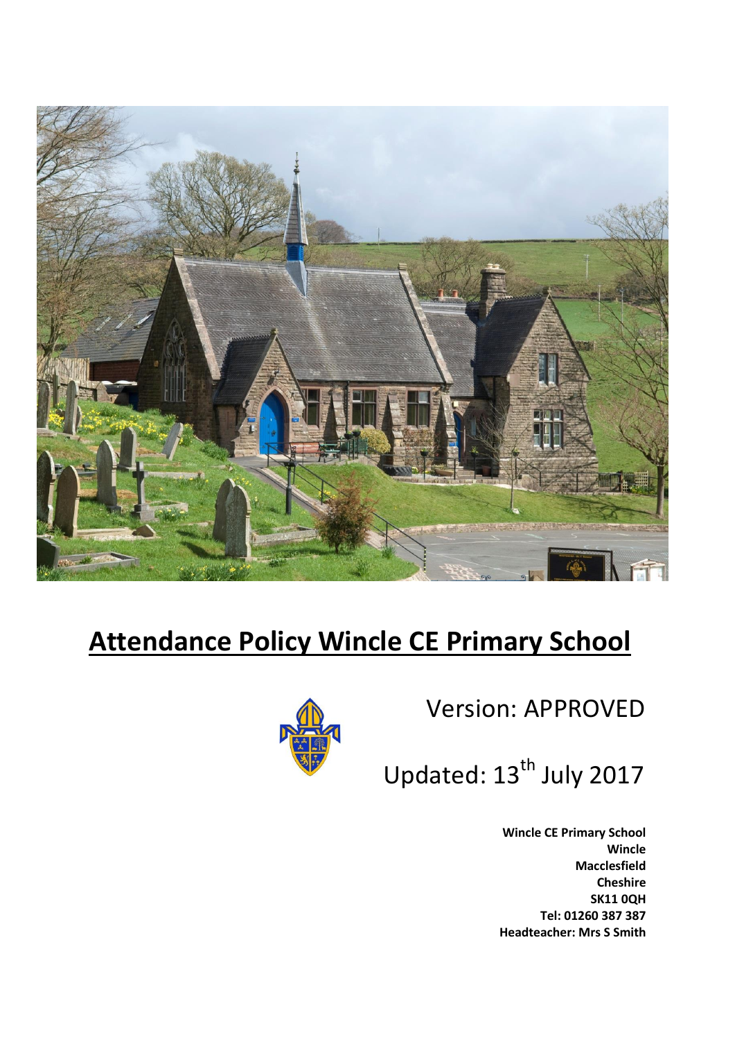

# **Attendance Policy Wincle CE Primary School**



Version: APPROVED

Updated: 13<sup>th</sup> July 2017

**Wincle CE Primary School Wincle Macclesfield Cheshire SK11 0QH Tel: 01260 387 387 Headteacher: Mrs S Smith**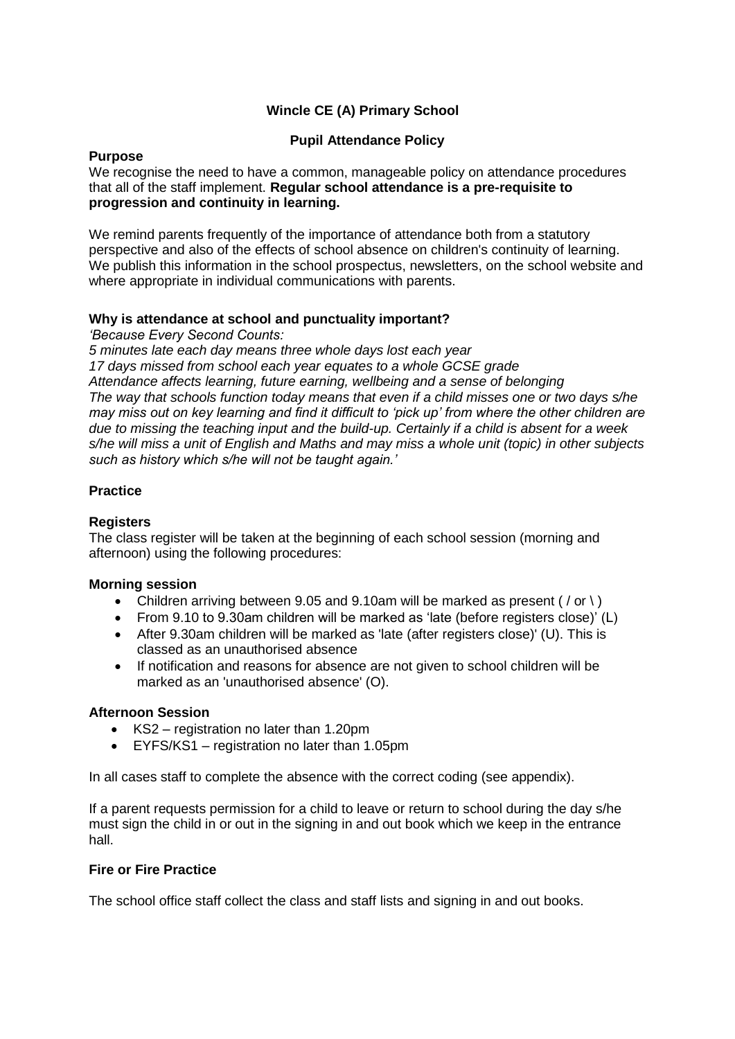# **Wincle CE (A) Primary School**

# **Pupil Attendance Policy**

#### **Purpose**

We recognise the need to have a common, manageable policy on attendance procedures that all of the staff implement. **Regular school attendance is a pre-requisite to progression and continuity in learning.** 

We remind parents frequently of the importance of attendance both from a statutory perspective and also of the effects of school absence on children's continuity of learning. We publish this information in the school prospectus, newsletters, on the school website and where appropriate in individual communications with parents.

# **Why is attendance at school and punctuality important?**

*'Because Every Second Counts:*

*5 minutes late each day means three whole days lost each year 17 days missed from school each year equates to a whole GCSE grade Attendance affects learning, future earning, wellbeing and a sense of belonging The way that schools function today means that even if a child misses one or two days s/he may miss out on key learning and find it difficult to 'pick up' from where the other children are due to missing the teaching input and the build-up. Certainly if a child is absent for a week s/he will miss a unit of English and Maths and may miss a whole unit (topic) in other subjects such as history which s/he will not be taught again.'*

# **Practice**

# **Registers**

The class register will be taken at the beginning of each school session (morning and afternoon) using the following procedures:

# **Morning session**

- Children arriving between 9.05 and 9.10am will be marked as present ( $/$  or  $\backslash$ )
- From 9.10 to 9.30am children will be marked as 'late (before registers close)' (L)
- After 9.30am children will be marked as 'late (after registers close)' (U). This is classed as an unauthorised absence
- If notification and reasons for absence are not given to school children will be marked as an 'unauthorised absence' (O).

# **Afternoon Session**

- KS2 registration no later than 1.20pm
- EYFS/KS1 registration no later than 1.05pm

In all cases staff to complete the absence with the correct coding (see appendix).

If a parent requests permission for a child to leave or return to school during the day s/he must sign the child in or out in the signing in and out book which we keep in the entrance hall.

# **Fire or Fire Practice**

The school office staff collect the class and staff lists and signing in and out books.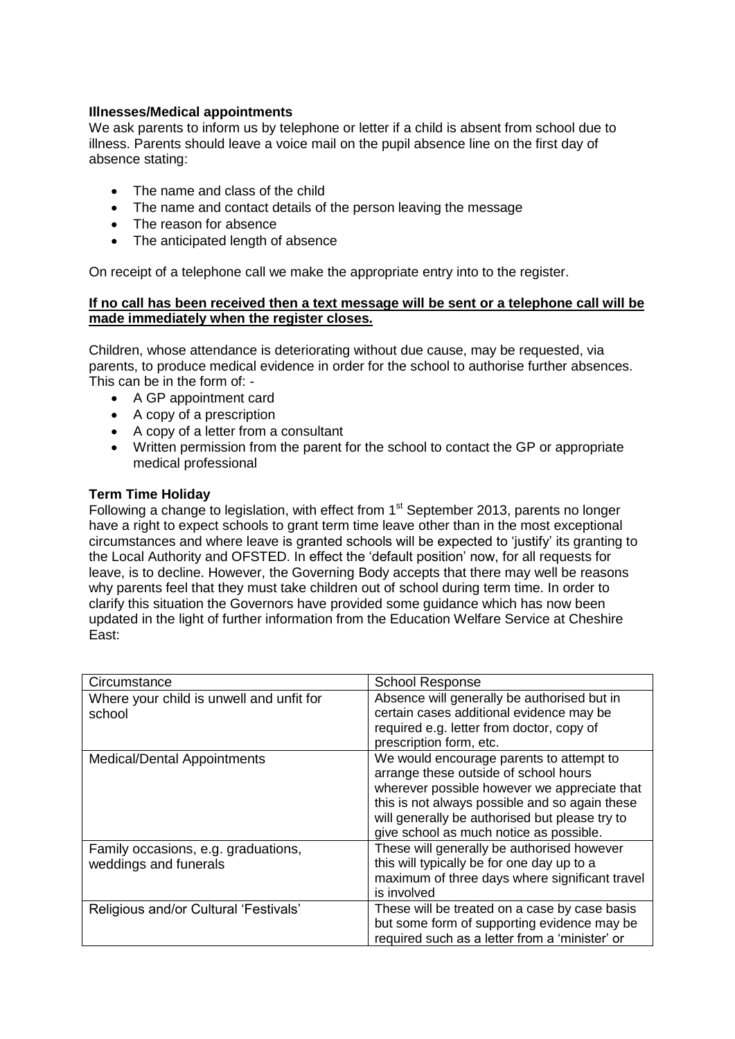# **Illnesses/Medical appointments**

We ask parents to inform us by telephone or letter if a child is absent from school due to illness. Parents should leave a voice mail on the pupil absence line on the first day of absence stating:

- The name and class of the child
- The name and contact details of the person leaving the message
- The reason for absence
- The anticipated length of absence

On receipt of a telephone call we make the appropriate entry into to the register.

#### **If no call has been received then a text message will be sent or a telephone call will be made immediately when the register closes.**

Children, whose attendance is deteriorating without due cause, may be requested, via parents, to produce medical evidence in order for the school to authorise further absences. This can be in the form of: -

- A GP appointment card
- A copy of a prescription
- A copy of a letter from a consultant
- Written permission from the parent for the school to contact the GP or appropriate medical professional

#### **Term Time Holiday**

Following a change to legislation, with effect from 1<sup>st</sup> September 2013, parents no longer have a right to expect schools to grant term time leave other than in the most exceptional circumstances and where leave is granted schools will be expected to 'justify' its granting to the Local Authority and OFSTED. In effect the 'default position' now, for all requests for leave, is to decline. However, the Governing Body accepts that there may well be reasons why parents feel that they must take children out of school during term time. In order to clarify this situation the Governors have provided some guidance which has now been updated in the light of further information from the Education Welfare Service at Cheshire East:

| Circumstance                                                 | <b>School Response</b>                                                                                                                                                                                                                                                           |
|--------------------------------------------------------------|----------------------------------------------------------------------------------------------------------------------------------------------------------------------------------------------------------------------------------------------------------------------------------|
| Where your child is unwell and unfit for<br>school           | Absence will generally be authorised but in<br>certain cases additional evidence may be<br>required e.g. letter from doctor, copy of<br>prescription form, etc.                                                                                                                  |
| <b>Medical/Dental Appointments</b>                           | We would encourage parents to attempt to<br>arrange these outside of school hours<br>wherever possible however we appreciate that<br>this is not always possible and so again these<br>will generally be authorised but please try to<br>give school as much notice as possible. |
| Family occasions, e.g. graduations,<br>weddings and funerals | These will generally be authorised however<br>this will typically be for one day up to a<br>maximum of three days where significant travel<br>is involved                                                                                                                        |
| Religious and/or Cultural 'Festivals'                        | These will be treated on a case by case basis<br>but some form of supporting evidence may be<br>required such as a letter from a 'minister' or                                                                                                                                   |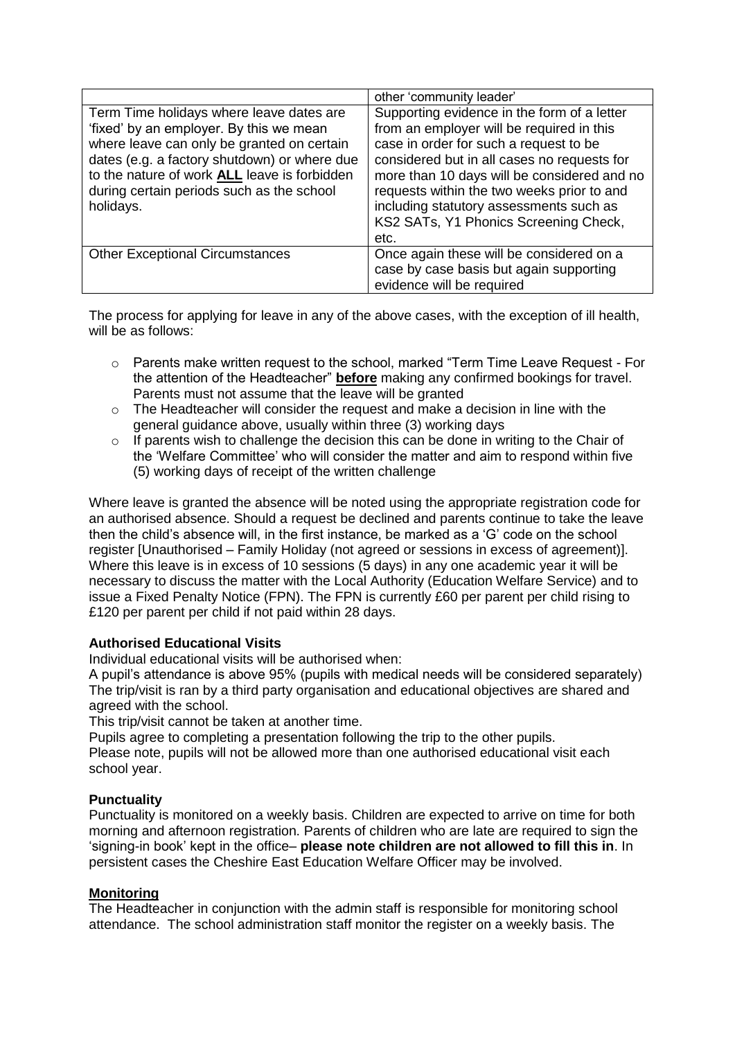|                                                                                                                                                                                                                                                                                             | other 'community leader'                                                                                                                                                                                                                                                                                                                                                   |
|---------------------------------------------------------------------------------------------------------------------------------------------------------------------------------------------------------------------------------------------------------------------------------------------|----------------------------------------------------------------------------------------------------------------------------------------------------------------------------------------------------------------------------------------------------------------------------------------------------------------------------------------------------------------------------|
| Term Time holidays where leave dates are<br>'fixed' by an employer. By this we mean<br>where leave can only be granted on certain<br>dates (e.g. a factory shutdown) or where due<br>to the nature of work ALL leave is forbidden<br>during certain periods such as the school<br>holidays. | Supporting evidence in the form of a letter<br>from an employer will be required in this<br>case in order for such a request to be<br>considered but in all cases no requests for<br>more than 10 days will be considered and no<br>requests within the two weeks prior to and<br>including statutory assessments such as<br>KS2 SATs, Y1 Phonics Screening Check,<br>etc. |
| <b>Other Exceptional Circumstances</b>                                                                                                                                                                                                                                                      | Once again these will be considered on a<br>case by case basis but again supporting<br>evidence will be required                                                                                                                                                                                                                                                           |

The process for applying for leave in any of the above cases, with the exception of ill health, will be as follows:

- $\circ$  Parents make written request to the school, marked "Term Time Leave Request For the attention of the Headteacher" **before** making any confirmed bookings for travel. Parents must not assume that the leave will be granted
- $\circ$  The Headteacher will consider the request and make a decision in line with the general guidance above, usually within three (3) working days
- o If parents wish to challenge the decision this can be done in writing to the Chair of the 'Welfare Committee' who will consider the matter and aim to respond within five (5) working days of receipt of the written challenge

Where leave is granted the absence will be noted using the appropriate registration code for an authorised absence. Should a request be declined and parents continue to take the leave then the child's absence will, in the first instance, be marked as a 'G' code on the school register [Unauthorised – Family Holiday (not agreed or sessions in excess of agreement)]. Where this leave is in excess of 10 sessions (5 days) in any one academic year it will be necessary to discuss the matter with the Local Authority (Education Welfare Service) and to issue a Fixed Penalty Notice (FPN). The FPN is currently £60 per parent per child rising to £120 per parent per child if not paid within 28 days.

# **Authorised Educational Visits**

Individual educational visits will be authorised when:

A pupil's attendance is above 95% (pupils with medical needs will be considered separately) The trip/visit is ran by a third party organisation and educational objectives are shared and agreed with the school.

This trip/visit cannot be taken at another time.

Pupils agree to completing a presentation following the trip to the other pupils.

Please note, pupils will not be allowed more than one authorised educational visit each school year.

# **Punctuality**

Punctuality is monitored on a weekly basis. Children are expected to arrive on time for both morning and afternoon registration. Parents of children who are late are required to sign the 'signing-in book' kept in the office– **please note children are not allowed to fill this in**. In persistent cases the Cheshire East Education Welfare Officer may be involved.

#### **Monitoring**

The Headteacher in conjunction with the admin staff is responsible for monitoring school attendance. The school administration staff monitor the register on a weekly basis. The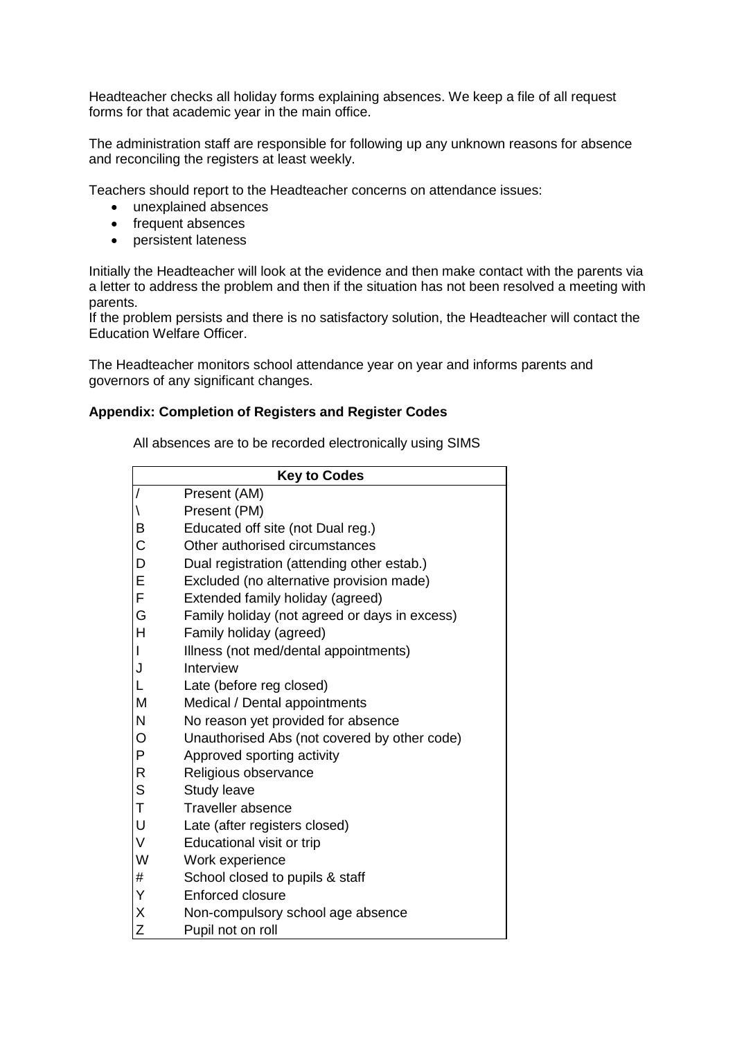Headteacher checks all holiday forms explaining absences. We keep a file of all request forms for that academic year in the main office.

The administration staff are responsible for following up any unknown reasons for absence and reconciling the registers at least weekly.

Teachers should report to the Headteacher concerns on attendance issues:

- unexplained absences
- frequent absences
- persistent lateness

Initially the Headteacher will look at the evidence and then make contact with the parents via a letter to address the problem and then if the situation has not been resolved a meeting with parents.

If the problem persists and there is no satisfactory solution, the Headteacher will contact the Education Welfare Officer.

The Headteacher monitors school attendance year on year and informs parents and governors of any significant changes.

#### **Appendix: Completion of Registers and Register Codes**

All absences are to be recorded electronically using SIMS

| <b>Key to Codes</b>      |                                               |  |
|--------------------------|-----------------------------------------------|--|
| $\overline{1}$           | Present (AM)                                  |  |
| $\backslash$             | Present (PM)                                  |  |
| B                        | Educated off site (not Dual reg.)             |  |
| $\mathsf C$              | Other authorised circumstances                |  |
| D                        | Dual registration (attending other estab.)    |  |
| E                        | Excluded (no alternative provision made)      |  |
| F                        | Extended family holiday (agreed)              |  |
| G                        | Family holiday (not agreed or days in excess) |  |
| H                        | Family holiday (agreed)                       |  |
| $\overline{\phantom{a}}$ | Illness (not med/dental appointments)         |  |
| J                        | Interview                                     |  |
| L                        | Late (before reg closed)                      |  |
| M                        | Medical / Dental appointments                 |  |
| N                        | No reason yet provided for absence            |  |
| $\circ$                  | Unauthorised Abs (not covered by other code)  |  |
| P                        | Approved sporting activity                    |  |
| $\mathsf{R}$             | Religious observance                          |  |
| S                        | <b>Study leave</b>                            |  |
| $\top$                   | <b>Traveller absence</b>                      |  |
| U                        | Late (after registers closed)                 |  |
| $\vee$                   | Educational visit or trip                     |  |
| W                        | Work experience                               |  |
| #                        | School closed to pupils & staff               |  |
| Y                        | <b>Enforced closure</b>                       |  |
| X                        | Non-compulsory school age absence             |  |
| Z                        | Pupil not on roll                             |  |